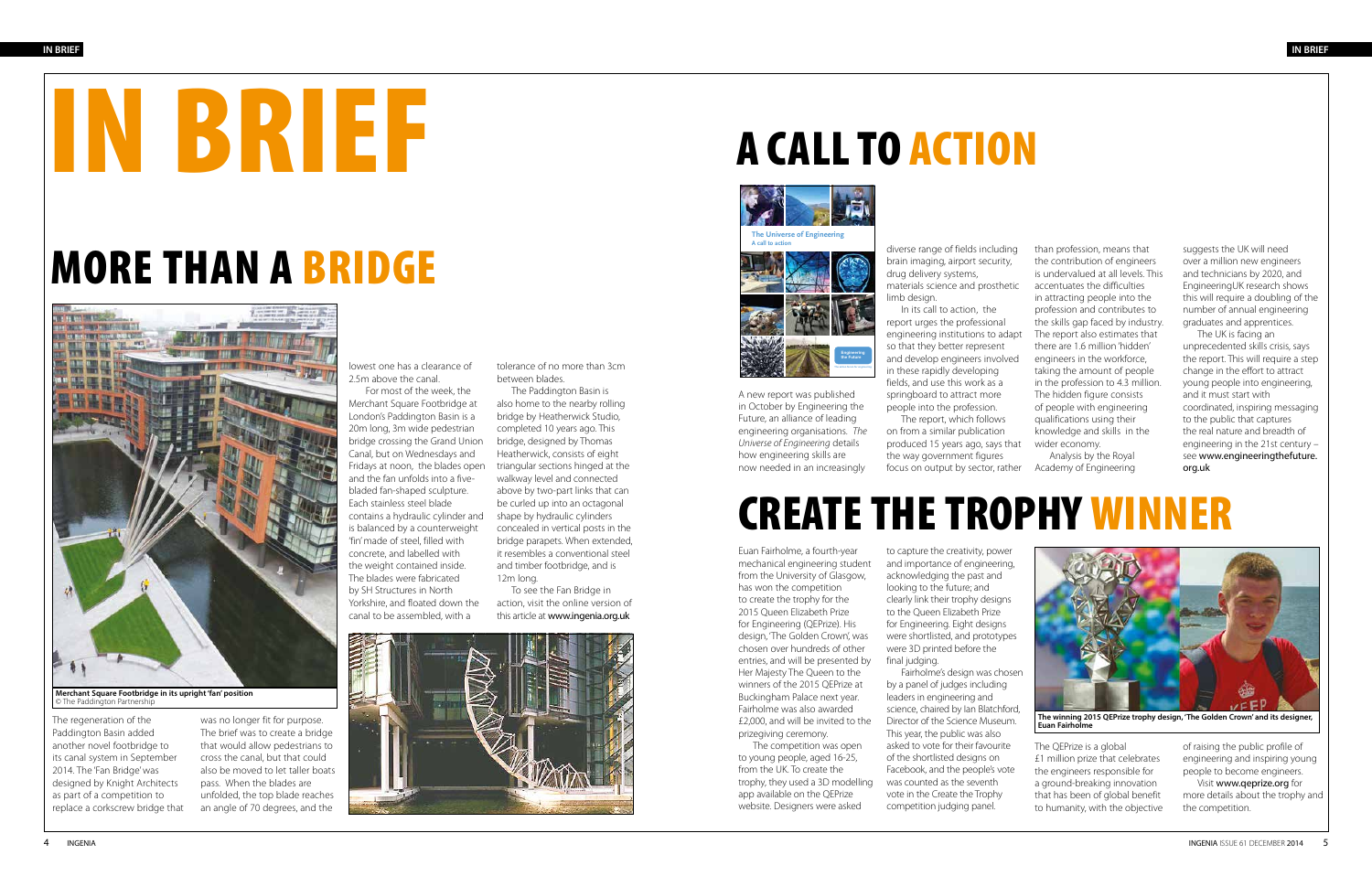### CREATE THE TROPHY WINNER

Euan Fairholme, a fourth-year mechanical engineering student from the University of Glasgow, has won the competition to create the trophy for the 2015 Queen Elizabeth Prize for Engineering (QEPrize). His design, 'The Golden Crown', was chosen over hundreds of other entries, and will be presented by Her Majesty The Queen to the winners of the 2015 QEPrize at Buckingham Palace next year. Fairholme was also awarded £2,000, and will be invited to the prizegiving ceremony.

The competition was open to young people, aged 16-25, from the UK. To create the trophy, they used a 3D modelling app available on the QEPrize website. Designers were asked

final judging.

The regeneration of the Paddington Basin added another novel footbridge to its canal system in September 2014. The 'Fan Bridge' was designed by Knight Architects as part of a competition to replace a corkscrew bridge that

was no longer fit for purpose. The brief was to create a bridge that would allow pedestrians to cross the canal, but that could also be moved to let taller boats pass. When the blades are unfolded, the top blade reaches an angle of 70 degrees, and the

to capture the creativity, power and importance of engineering, acknowledging the past and looking to the future; and clearly link their trophy designs to the Queen Elizabeth Prize for Engineering. Eight designs were shortlisted, and prototypes were 3D printed before the



**Merchant Square Footbridge in its upright 'fan' position** © The Paddington Partnership

Fairholme's design was chosen by a panel of judges including leaders in engineering and science, chaired by Ian Blatchford, Director of the Science Museum. This year, the public was also asked to vote for their favourite of the shortlisted designs on Facebook, and the people's vote was counted as the seventh vote in the Create the Trophy competition judging panel.







**The winning 2015 QEPrize trophy design, 'The Golden Crown' and its designer, Euan Fairholme**

The QEPrize is a global £1 million prize that celebrates the engineers responsible for a ground-breaking innovation that has been of global benefit to humanity, with the objective of raising the public profile of engineering and inspiring young people to become engineers.

Visit www.qeprize.org for more details about the trophy and the competition.

# A CALL TO ACTION

A new report was published in October by Engineering the Future, an alliance of leading engineering organisations. *The Universe of Engineering* details how engineering skills are now needed in an increasingly

diverse range of fields including brain imaging, airport security, drug delivery systems, materials science and prosthetic

limb design.

In its call to action, the report urges the professional engineering institutions to adapt The report also estimates that so that they better represent and develop engineers involved in these rapidly developing fields, and use this work as a springboard to attract more people into the profession. The report, which follows on from a similar publication produced 15 years ago, says that

the way government figures

lowest one has a clearance of 2.5m above the canal.

 For most of the week, the Merchant Square Footbridge at London's Paddington Basin is a 20m long, 3m wide pedestrian bridge crossing the Grand Union Canal, but on Wednesdays and Fridays at noon, the blades open and the fan unfolds into a fivebladed fan-shaped sculpture. Each stainless steel blade contains a hydraulic cylinder and is balanced by a counterweight 'fin' made of steel, filled with concrete, and labelled with the weight contained inside. The blades were fabricated by SH Structures in North Yorkshire, and floated down the canal to be assembled, with a

tolerance of no more than 3cm between blades.

> focus on output by sector, rather Academy of Engineering Analysis by the Royal

The Paddington Basin is also home to the nearby rolling bridge by Heatherwick Studio, completed 10 years ago. This bridge, designed by Thomas Heatherwick, consists of eight triangular sections hinged at the walkway level and connected above by two-part links that can be curled up into an octagonal shape by hydraulic cylinders concealed in vertical posts in the bridge parapets. When extended, it resembles a conventional steel and timber footbridge, and is 12m long.

To see the Fan Bridge in action, visit the online version of this article at www.ingenia.org.uk



than profession, means that the contribution of engineers is undervalued at all levels. This accentuates the difficulties in attracting people into the profession and contributes to the skills gap faced by industry. there are 1.6 million 'hidden' engineers in the workforce, taking the amount of people in the profession to 4.3 million. The hidden figure consists of people with engineering qualifications using their knowledge and skills in the wider economy.

suggests the UK will need over a million new engineers and technicians by 2020, and EngineeringUK research shows this will require a doubling of the number of annual engineering graduates and apprentices.

The UK is facing an unprecedented skills crisis, says the report. This will require a step change in the effort to attract young people into engineering, and it must start with coordinated, inspiring messaging to the public that captures the real nature and breadth of engineering in the 21st century – see www.engineeringthefuture. org.uk